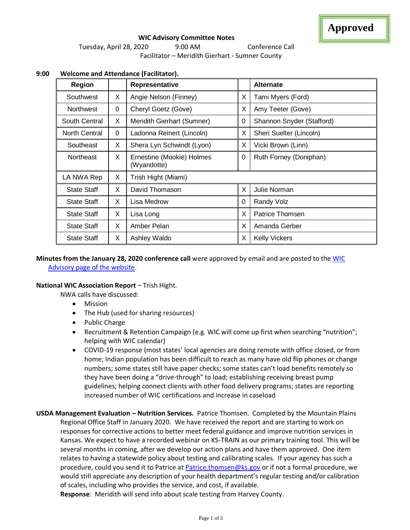

# **WIC Advisory Committee Notes** Tuesday, April 28, 2020 9:00 AM Conference Call Facilitator – Meridith Gierhart - Sumner County

| <b>Region</b>      |    | Representative                           |   | <b>Alternate</b>          |
|--------------------|----|------------------------------------------|---|---------------------------|
| Southwest          | X. | Angie Nelson (Finney)                    | X | Tami Myers (Ford)         |
| <b>Northwest</b>   | 0  | Cheryl Goetz (Gove)                      | X | Amy Teeter (Gove)         |
| South Central      | X  | Meridith Gierhart (Sumner)               | 0 | Shannon Snyder (Stafford) |
| North Central      | 0  | Ladonna Reinert (Lincoln)                | X | Sheri Suelter (Lincoln)   |
| Southeast          | X  | Shera Lyn Schwindt (Lyon)                | X | Vicki Brown (Linn)        |
| <b>Northeast</b>   | X. | Ernestine (Mookie) Holmes<br>(Wyandotte) | 0 | Ruth Forney (Doniphan)    |
| LA NWA Rep         | X. | Trish Hight (Miami)                      |   |                           |
| <b>State Staff</b> | X  | David Thomason                           | X | Julie Norman              |
| <b>State Staff</b> | X. | Lisa Medrow                              | 0 | Randy Volz                |
| <b>State Staff</b> | X. | Lisa Long                                | X | Patrice Thomsen           |
| <b>State Staff</b> | X. | Amber Pelan                              | X | Amanda Gerber             |
| <b>State Staff</b> | X  | Ashley Waldo                             | X | <b>Kelly Vickers</b>      |

# **9:00 Welcome and Attendance (Facilitator).**

# **Minutes from the January 28, 2020 conference call** were approved by email and are posted to the [WIC](http://www.kansaswic.org/local_agencies/WIC_advisory_comm.html)  [Advisory page of the website.](http://www.kansaswic.org/local_agencies/WIC_advisory_comm.html)

## **National WIC Association Report** – Trish Hight.

NWA calls have discussed:

- **Mission**
- The Hub (used for sharing resources)
- Public Charge
- Recruitment & Retention Campaign (e.g. WIC will come up first when searching "nutrition"; helping with WIC calendar)
- COVID-19 response (most states' local agencies are doing remote with office closed, or from home; Indian population has been difficult to reach as many have old flip phones or change numbers; some states still have paper checks; some states can't load benefits remotely so they have been doing a "drive-through" to load; establishing receiving breast pump guidelines; helping connect clients with other food delivery programs; states are reporting increased number of WIC certifications and increase in caseload
- **USDA Management Evaluation – Nutrition Services.** Patrice Thomsen. Completed by the Mountain Plains Regional Office Staff in January 2020. We have received the report and are starting to work on responses for corrective actions to better meet federal guidance and improve nutrition services in Kansas. We expect to have a recorded webinar on KS-TRAIN as our primary training tool. This will be several months in coming, after we develop our action plans and have them approved. One item relates to having a statewide policy about testing and calibrating scales. If your agency has such a procedure, could you send it to Patrice at **Patrice.thomsen@ks.gov** or if not a formal procedure, we would still appreciate any description of your health department's regular testing and/or calibration of scales, including who provides the service, and cost, if available.

**Response**: Meridith will send info about scale testing from Harvey County.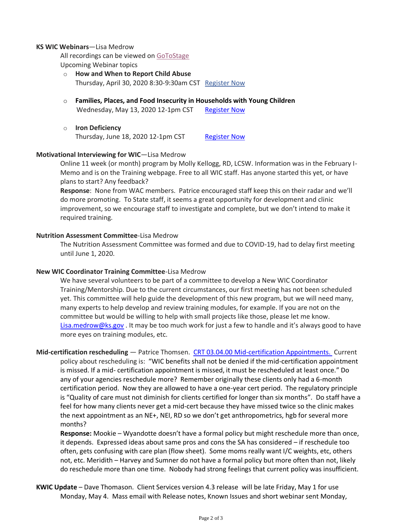#### **KS WIC Webinars**—Lisa Medrow

All recordings can be viewed on [GoToStage](https://gcc01.safelinks.protection.outlook.com/?url=https%3A%2F%2Fwww.gotostage.com%2Fchannel%2Fc0b1a1026a014205b3c0441d39b11e4a&data=02%7C01%7CPatrice.Thomsen%40ks.gov%7C862146165d0b4a17de8308d7e092b7ce%7Cdcae8101c92d480cbc43c6761ccccc5a%7C0%7C0%7C637224793056567072&sdata=YqIb%2BODOcZKzJOYP9D6UdowxXyXam0IErfDsDIustmc%3D&reserved=0) Upcoming Webinar topics

- o **How and When to Report Child Abuse** Thursday, April 30, 2020 8:30-9:30am CST [Register Now](https://gcc01.safelinks.protection.outlook.com/?url=https%3A%2F%2Fattendee.gotowebinar.com%2Fregister%2F4918544724693258763&data=02%7C01%7CPatrice.Thomsen%40ks.gov%7C862146165d0b4a17de8308d7e092b7ce%7Cdcae8101c92d480cbc43c6761ccccc5a%7C0%7C0%7C637224793056577028&sdata=puVpmHIme9EqjcOni%2F17J58kyLYYqHvFsfThPi%2FzUu4%3D&reserved=0)
- o **Families, Places, and Food Insecurity in Households with Young Children** Wednesday, May 13, 2020 12-1pm CST [Register Now](https://gcc01.safelinks.protection.outlook.com/?url=https%3A%2F%2Fattendee.gotowebinar.com%2Fregister%2F8390556156594387726&data=02%7C01%7CPatrice.Thomsen%40ks.gov%7C862146165d0b4a17de8308d7e092b7ce%7Cdcae8101c92d480cbc43c6761ccccc5a%7C0%7C0%7C637224793056577028&sdata=QIoPG65b6hocLW5BCRS7eWFbAG5QZWN0Dz7U9cEdAMk%3D&reserved=0)
- o **Iron Deficiency** Thursday, June 18, 2020 12-1pm CST [Register Now](https://gcc01.safelinks.protection.outlook.com/?url=https%3A%2F%2Fattendee.gotowebinar.com%2Fregister%2F7329935353550264588&data=02%7C01%7CPatrice.Thomsen%40ks.gov%7C862146165d0b4a17de8308d7e092b7ce%7Cdcae8101c92d480cbc43c6761ccccc5a%7C0%7C0%7C637224793056586980&sdata=vocT3rUwGxYi%2FmNZMHRyDlqqa6ImbRllw3Sk8L1aklY%3D&reserved=0)

## **Motivational Interviewing for WIC**—Lisa Medrow

Online 11 week (or month) program by Molly Kellogg, RD, LCSW. Information was in the February I-Memo and is on the Training webpage. Free to all WIC staff. Has anyone started this yet, or have plans to start? Any feedback?

**Response**: None from WAC members. Patrice encouraged staff keep this on their radar and we'll do more promoting. To State staff, it seems a great opportunity for development and clinic improvement, so we encourage staff to investigate and complete, but we don't intend to make it required training.

### **Nutrition Assessment Committee**-Lisa Medrow

The Nutrition Assessment Committee was formed and due to COVID-19, had to delay first meeting until June 1, 2020.

#### **New WIC Coordinator Training Committee**-Lisa Medrow

We have several volunteers to be part of a committee to develop a New WIC Coordinator Training/Mentorship. Due to the current circumstances, our first meeting has not been scheduled yet. This committee will help guide the development of this new program, but we will need many, many experts to help develop and review training modules, for example. If you are not on the committee but would be willing to help with small projects like those, please let me know. [Lisa.medrow@ks.gov](mailto:Lisa.medrow@ks.gov) . It may be too much work for just a few to handle and it's always good to have more eyes on training modules, etc.

**Mid-certification rescheduling** — Patrice Thomsen. [CRT 03.04.00 Mid-certification Appointments. C](http://www.kansaswic.org/manual/eWIC_CRT_03_04_00_Mid_Certification_Appointments.pdf)urrent policy about rescheduling is: "WIC benefits shall not be denied if the mid-certification appointment is missed. If a mid- certification appointment is missed, it must be rescheduled at least once." Do any of your agencies reschedule more? Remember originally these clients only had a 6-month certification period. Now they are allowed to have a one-year cert period. The regulatory principle is "Quality of care must not diminish for clients certified for longer than six months". Do staff have a feel for how many clients never get a mid-cert because they have missed twice so the clinic makes the next appointment as an NE+, NEI, RD so we don't get anthropometrics, hgb for several more

months?

**Response:** Mookie – Wyandotte doesn't have a formal policy but might reschedule more than once, it depends. Expressed ideas about same pros and cons the SA has considered – if reschedule too often, gets confusing with care plan (flow sheet). Some moms really want I/C weights, etc, others not, etc. Meridith – Harvey and Sumner do not have a formal policy but more often than not, likely do reschedule more than one time. Nobody had strong feelings that current policy was insufficient.

**KWIC Update** – Dave Thomason. Client Services version 4.3 release will be late Friday, May 1 for use Monday, May 4. Mass email with Release notes, Known Issues and short webinar sent Monday,